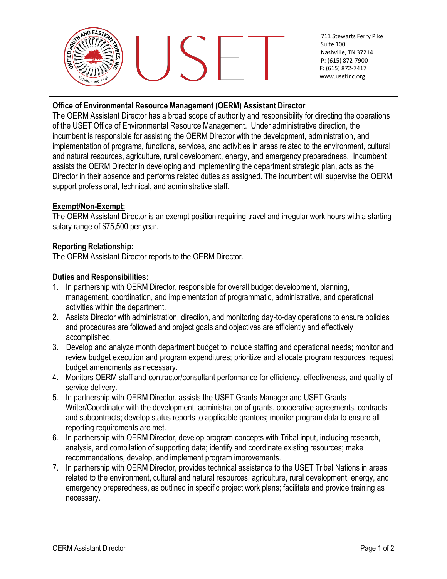

711 Stewarts Ferry Pike Suite 100 Nashville, TN 37214 P: (615) 872-7900 F: (615) 872-741[7](http://www.usetinc.org/) [www.usetinc.org](http://www.usetinc.org/)

## **Office of Environmental Resource Management (OERM) Assistant Director**

The OERM Assistant Director has a broad scope of authority and responsibility for directing the operations of the USET Office of Environmental Resource Management. Under administrative direction, the incumbent is responsible for assisting the OERM Director with the development, administration, and implementation of programs, functions, services, and activities in areas related to the environment, cultural and natural resources, agriculture, rural development, energy, and emergency preparedness. Incumbent assists the OERM Director in developing and implementing the department strategic plan, acts as the Director in their absence and performs related duties as assigned. The incumbent will supervise the OERM support professional, technical, and administrative staff.

## **Exempt/Non-Exempt:**

The OERM Assistant Director is an exempt position requiring travel and irregular work hours with a starting salary range of \$75,500 per year.

## **Reporting Relationship:**

The OERM Assistant Director reports to the OERM Director.

#### **Duties and Responsibilities:**

- 1. In partnership with OERM Director, responsible for overall budget development, planning, management, coordination, and implementation of programmatic, administrative, and operational activities within the department.
- 2. Assists Director with administration, direction, and monitoring day-to-day operations to ensure policies and procedures are followed and project goals and objectives are efficiently and effectively accomplished.
- 3. Develop and analyze month department budget to include staffing and operational needs; monitor and review budget execution and program expenditures; prioritize and allocate program resources; request budget amendments as necessary.
- 4. Monitors OERM staff and contractor/consultant performance for efficiency, effectiveness, and quality of service delivery.
- 5. In partnership with OERM Director, assists the USET Grants Manager and USET Grants Writer/Coordinator with the development, administration of grants, cooperative agreements, contracts and subcontracts; develop status reports to applicable grantors; monitor program data to ensure all reporting requirements are met.
- 6. In partnership with OERM Director, develop program concepts with Tribal input, including research, analysis, and compilation of supporting data; identify and coordinate existing resources; make recommendations, develop, and implement program improvements.
- 7. In partnership with OERM Director, provides technical assistance to the USET Tribal Nations in areas related to the environment, cultural and natural resources, agriculture, rural development, energy, and emergency preparedness, as outlined in specific project work plans; facilitate and provide training as necessary.